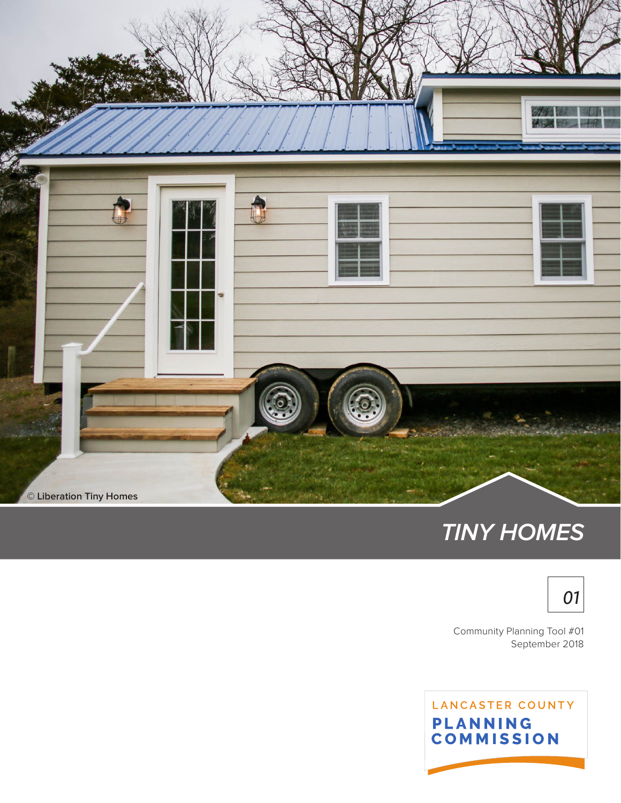

# **TINY HOMES**



September 2018 Community Planning Tool #01

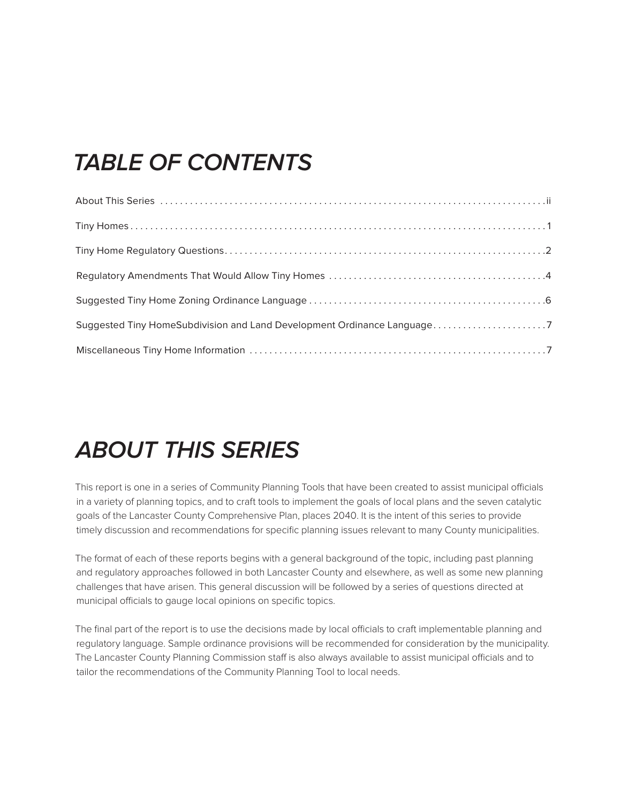# **TABLE OF CONTENTS**

| Suggested Tiny HomeSubdivision and Land Development Ordinance Language7 |  |
|-------------------------------------------------------------------------|--|
|                                                                         |  |

# **ABOUT THIS SERIES**

This report is one in a series of Community Planning Tools that have been created to assist municipal officials in a variety of planning topics, and to craft tools to implement the goals of local plans and the seven catalytic goals of the Lancaster County Comprehensive Plan, places 2040. It is the intent of this series to provide timely discussion and recommendations for specific planning issues relevant to many County municipalities.

The format of each of these reports begins with a general background of the topic, including past planning and regulatory approaches followed in both Lancaster County and elsewhere, as well as some new planning challenges that have arisen. This general discussion will be followed by a series of questions directed at municipal officials to gauge local opinions on specific topics.

The final part of the report is to use the decisions made by local officials to craft implementable planning and regulatory language. Sample ordinance provisions will be recommended for consideration by the municipality. The Lancaster County Planning Commission staff is also always available to assist municipal officials and to tailor the recommendations of the Community Planning Tool to local needs.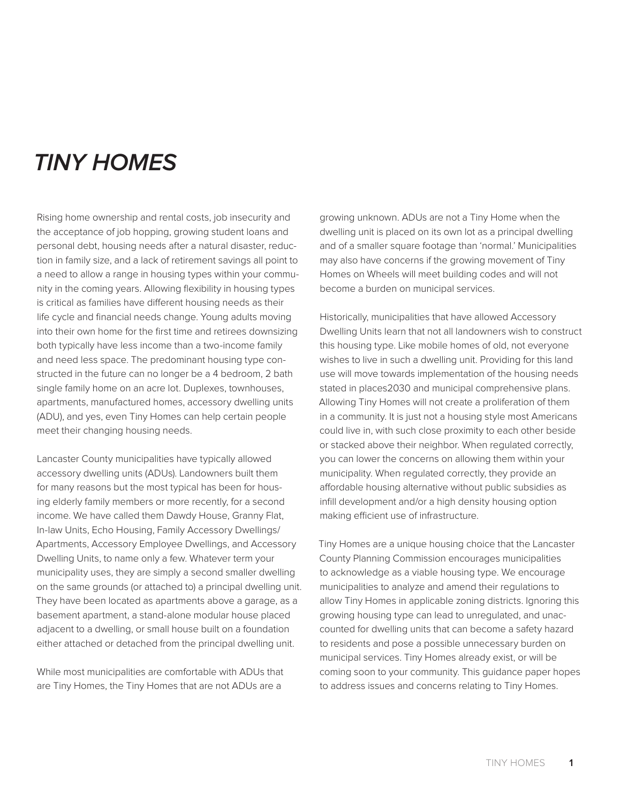# <span id="page-2-0"></span>**TINY HOMES**

Rising home ownership and rental costs, job insecurity and the acceptance of job hopping, growing student loans and personal debt, housing needs after a natural disaster, reduction in family size, and a lack of retirement savings all point to a need to allow a range in housing types within your community in the coming years. Allowing flexibility in housing types is critical as families have different housing needs as their life cycle and financial needs change. Young adults moving into their own home for the first time and retirees downsizing both typically have less income than a two-income family and need less space. The predominant housing type constructed in the future can no longer be a 4 bedroom, 2 bath single family home on an acre lot. Duplexes, townhouses, apartments, manufactured homes, accessory dwelling units (ADU), and yes, even Tiny Homes can help certain people meet their changing housing needs.

Lancaster County municipalities have typically allowed accessory dwelling units (ADUs). Landowners built them for many reasons but the most typical has been for housing elderly family members or more recently, for a second income. We have called them Dawdy House, Granny Flat, In-law Units, Echo Housing, Family Accessory Dwellings/ Apartments, Accessory Employee Dwellings, and Accessory Dwelling Units, to name only a few. Whatever term your municipality uses, they are simply a second smaller dwelling on the same grounds (or attached to) a principal dwelling unit. They have been located as apartments above a garage, as a basement apartment, a stand-alone modular house placed adjacent to a dwelling, or small house built on a foundation either attached or detached from the principal dwelling unit.

While most municipalities are comfortable with ADUs that are Tiny Homes, the Tiny Homes that are not ADUs are a

growing unknown. ADUs are not a Tiny Home when the dwelling unit is placed on its own lot as a principal dwelling and of a smaller square footage than 'normal.' Municipalities may also have concerns if the growing movement of Tiny Homes on Wheels will meet building codes and will not become a burden on municipal services.

Historically, municipalities that have allowed Accessory Dwelling Units learn that not all landowners wish to construct this housing type. Like mobile homes of old, not everyone wishes to live in such a dwelling unit. Providing for this land use will move towards implementation of the housing needs stated in places2030 and municipal comprehensive plans. Allowing Tiny Homes will not create a proliferation of them in a community. It is just not a housing style most Americans could live in, with such close proximity to each other beside or stacked above their neighbor. When regulated correctly, you can lower the concerns on allowing them within your municipality. When regulated correctly, they provide an affordable housing alternative without public subsidies as infill development and/or a high density housing option making efficient use of infrastructure.

Tiny Homes are a unique housing choice that the Lancaster County Planning Commission encourages municipalities to acknowledge as a viable housing type. We encourage municipalities to analyze and amend their regulations to allow Tiny Homes in applicable zoning districts. Ignoring this growing housing type can lead to unregulated, and unaccounted for dwelling units that can become a safety hazard to residents and pose a possible unnecessary burden on municipal services. Tiny Homes already exist, or will be coming soon to your community. This guidance paper hopes to address issues and concerns relating to Tiny Homes.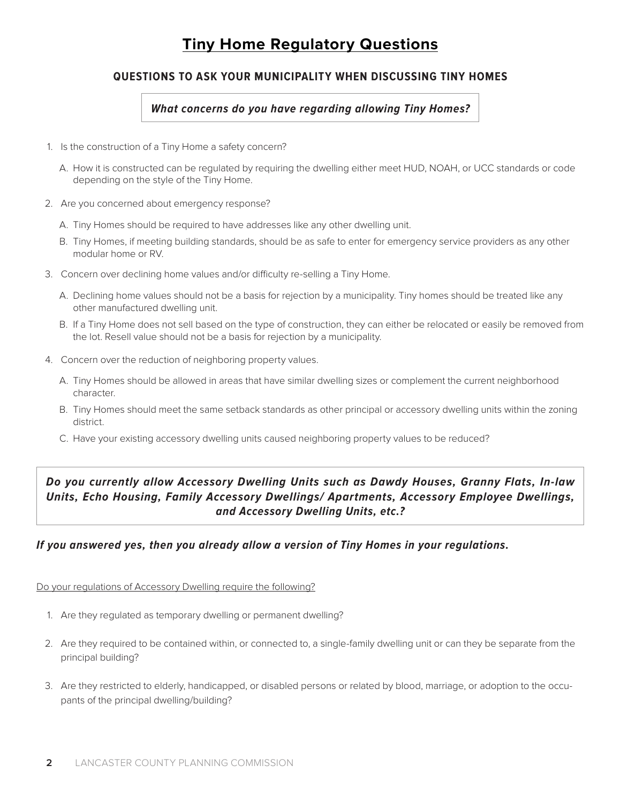# **Tiny Home Regulatory Questions**

### <span id="page-3-0"></span>**QUESTIONS TO ASK YOUR MUNICIPALITY WHEN DISCUSSING TINY HOMES**

### **What concerns do you have regarding allowing Tiny Homes?**

- 1. Is the construction of a Tiny Home a safety concern?
	- A. How it is constructed can be regulated by requiring the dwelling either meet HUD, NOAH, or UCC standards or code depending on the style of the Tiny Home.
- 2. Are you concerned about emergency response?
	- A. Tiny Homes should be required to have addresses like any other dwelling unit.
	- B. Tiny Homes, if meeting building standards, should be as safe to enter for emergency service providers as any other modular home or RV.
- 3. Concern over declining home values and/or difficulty re-selling a Tiny Home.
	- A. Declining home values should not be a basis for rejection by a municipality. Tiny homes should be treated like any other manufactured dwelling unit.
	- B. If a Tiny Home does not sell based on the type of construction, they can either be relocated or easily be removed from the lot. Resell value should not be a basis for rejection by a municipality.
- 4. Concern over the reduction of neighboring property values.
	- A. Tiny Homes should be allowed in areas that have similar dwelling sizes or complement the current neighborhood character.
	- B. Tiny Homes should meet the same setback standards as other principal or accessory dwelling units within the zoning district.
	- C. Have your existing accessory dwelling units caused neighboring property values to be reduced?

## **Do you currently allow Accessory Dwelling Units such as Dawdy Houses, Granny Flats, In-law Units, Echo Housing, Family Accessory Dwellings/ Apartments, Accessory Employee Dwellings, and Accessory Dwelling Units, etc.?**

### **If you answered yes, then you already allow a version of Tiny Homes in your regulations.**

Do your regulations of Accessory Dwelling require the following?

- 1. Are they regulated as temporary dwelling or permanent dwelling?
- 2. Are they required to be contained within, or connected to, a single-family dwelling unit or can they be separate from the principal building?
- 3. Are they restricted to elderly, handicapped, or disabled persons or related by blood, marriage, or adoption to the occupants of the principal dwelling/building?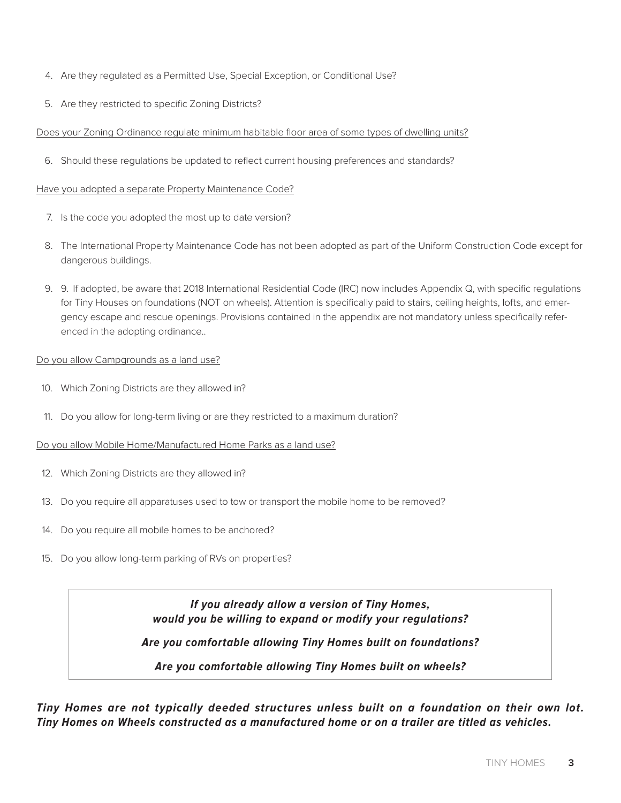- 4. Are they regulated as a Permitted Use, Special Exception, or Conditional Use?
- 5. Are they restricted to specific Zoning Districts?

### Does your Zoning Ordinance regulate minimum habitable floor area of some types of dwelling units?

6. Should these regulations be updated to reflect current housing preferences and standards?

### Have you adopted a separate Property Maintenance Code?

- 7. Is the code you adopted the most up to date version?
- 8. The International Property Maintenance Code has not been adopted as part of the Uniform Construction Code except for dangerous buildings.
- 9. 9. If adopted, be aware that 2018 International Residential Code (IRC) now includes Appendix Q, with specific regulations for Tiny Houses on foundations (NOT on wheels). Attention is specifically paid to stairs, ceiling heights, lofts, and emergency escape and rescue openings. Provisions contained in the appendix are not mandatory unless specifically referenced in the adopting ordinance..

### Do you allow Campgrounds as a land use?

- 10. Which Zoning Districts are they allowed in?
- 11. Do you allow for long-term living or are they restricted to a maximum duration?

### Do you allow Mobile Home/Manufactured Home Parks as a land use?

- 12. Which Zoning Districts are they allowed in?
- 13. Do you require all apparatuses used to tow or transport the mobile home to be removed?
- 14. Do you require all mobile homes to be anchored?
- 15. Do you allow long-term parking of RVs on properties?

**If you already allow a version of Tiny Homes, would you be willing to expand or modify your regulations? Are you comfortable allowing Tiny Homes built on foundations? Are you comfortable allowing Tiny Homes built on wheels?**

**Tiny Homes are not typically deeded structures unless built on a foundation on their own lot. Tiny Homes on Wheels constructed as a manufactured home or on a trailer are titled as vehicles.**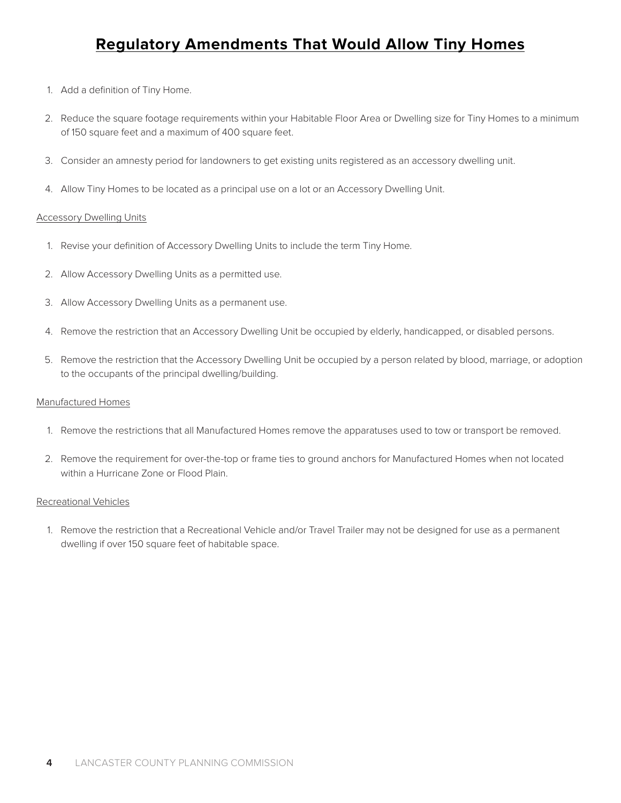## **Regulatory Amendments That Would Allow Tiny Homes**

- <span id="page-5-0"></span>1. Add a definition of Tiny Home.
- 2. Reduce the square footage requirements within your Habitable Floor Area or Dwelling size for Tiny Homes to a minimum of 150 square feet and a maximum of 400 square feet.
- 3. Consider an amnesty period for landowners to get existing units registered as an accessory dwelling unit.
- 4. Allow Tiny Homes to be located as a principal use on a lot or an Accessory Dwelling Unit.

### **Accessory Dwelling Units**

- 1. Revise your definition of Accessory Dwelling Units to include the term Tiny Home.
- 2. Allow Accessory Dwelling Units as a permitted use.
- 3. Allow Accessory Dwelling Units as a permanent use.
- 4. Remove the restriction that an Accessory Dwelling Unit be occupied by elderly, handicapped, or disabled persons.
- 5. Remove the restriction that the Accessory Dwelling Unit be occupied by a person related by blood, marriage, or adoption to the occupants of the principal dwelling/building.

### Manufactured Homes

- 1. Remove the restrictions that all Manufactured Homes remove the apparatuses used to tow or transport be removed.
- 2. Remove the requirement for over-the-top or frame ties to ground anchors for Manufactured Homes when not located within a Hurricane Zone or Flood Plain.

### Recreational Vehicles

1. Remove the restriction that a Recreational Vehicle and/or Travel Trailer may not be designed for use as a permanent dwelling if over 150 square feet of habitable space.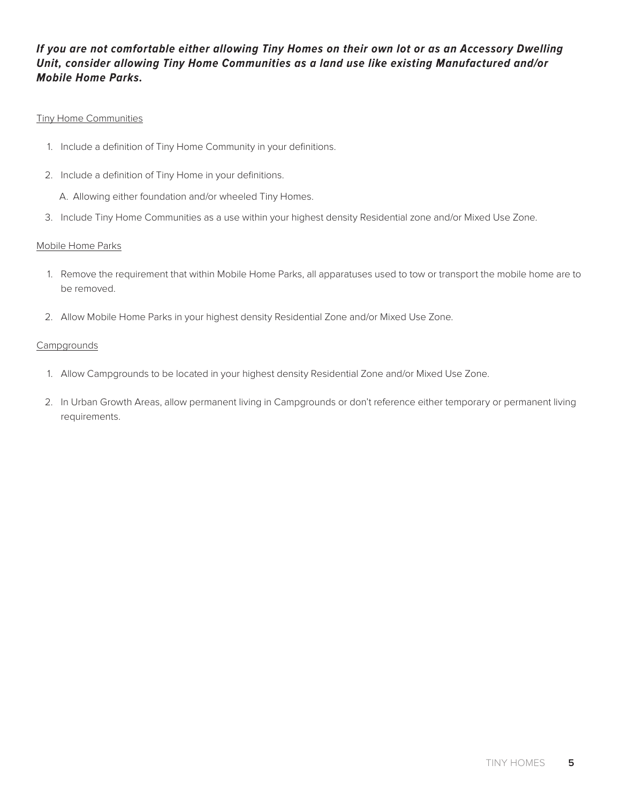## **If you are not comfortable either allowing Tiny Homes on their own lot or as an Accessory Dwelling Unit, consider allowing Tiny Home Communities as a land use like existing Manufactured and/or Mobile Home Parks.**

### Tiny Home Communities

- 1. Include a definition of Tiny Home Community in your definitions.
- 2. Include a definition of Tiny Home in your definitions.
	- A. Allowing either foundation and/or wheeled Tiny Homes.
- 3. Include Tiny Home Communities as a use within your highest density Residential zone and/or Mixed Use Zone.

### Mobile Home Parks

- 1. Remove the requirement that within Mobile Home Parks, all apparatuses used to tow or transport the mobile home are to be removed.
- 2. Allow Mobile Home Parks in your highest density Residential Zone and/or Mixed Use Zone.

### **Campgrounds**

- 1. Allow Campgrounds to be located in your highest density Residential Zone and/or Mixed Use Zone.
- 2. In Urban Growth Areas, allow permanent living in Campgrounds or don't reference either temporary or permanent living requirements.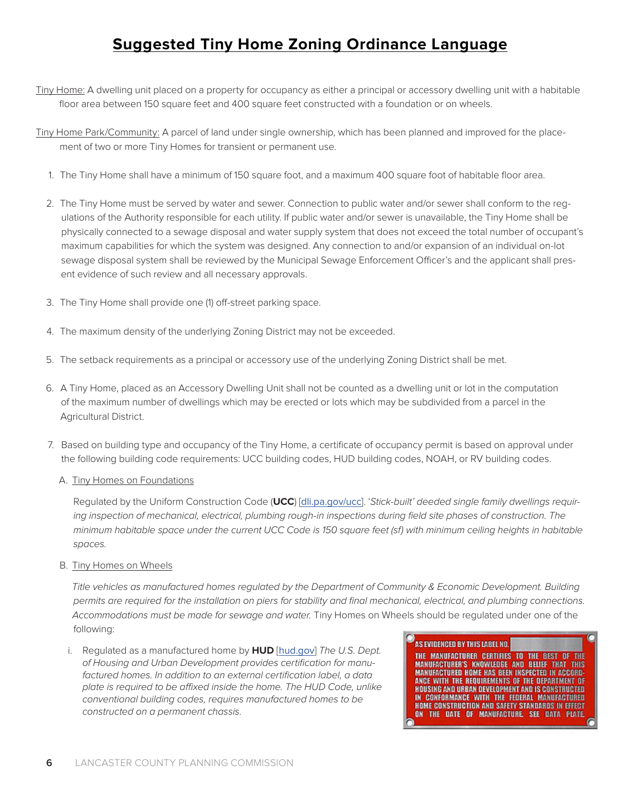# **Suggested Tiny Home Zoning Ordinance Language**

- <span id="page-7-0"></span>Tiny Home: A dwelling unit placed on a property for occupancy as either a principal or accessory dwelling unit with a habitable floor area between 150 square feet and 400 square feet constructed with a foundation or on wheels.
- Tiny Home Park/Community: A parcel of land under single ownership, which has been planned and improved for the placement of two or more Tiny Homes for transient or permanent use.
	- 1. The Tiny Home shall have a minimum of 150 square foot, and a maximum 400 square foot of habitable floor area.
	- 2. The Tiny Home must be served by water and sewer. Connection to public water and/or sewer shall conform to the regulations of the Authority responsible for each utility. If public water and/or sewer is unavailable, the Tiny Home shall be physically connected to a sewage disposal and water supply system that does not exceed the total number of occupant's maximum capabilities for which the system was designed. Any connection to and/or expansion of an individual on-lot sewage disposal system shall be reviewed by the Municipal Sewage Enforcement Officer's and the applicant shall present evidence of such review and all necessary approvals.
	- 3. The Tiny Home shall provide one (1) off-street parking space.
	- 4. The maximum density of the underlying Zoning District may not be exceeded.
	- 5. The setback requirements as a principal or accessory use of the underlying Zoning District shall be met.
	- 6. A Tiny Home, placed as an Accessory Dwelling Unit shall not be counted as a dwelling unit or lot in the computation of the maximum number of dwellings which may be erected or lots which may be subdivided from a parcel in the Agricultural District.
	- 7. Based on building type and occupancy of the Tiny Home, a certificate of occupancy permit is based on approval under the following building code requirements: UCC building codes, HUD building codes, NOAH, or RV building codes.
		- A. Tiny Homes on Foundations

Regulated by the Uniform Construction Code (**UCC**) [[dli.pa.gov/ucc](http://www.dli.pa.gov/ucc/Pages/default.aspx)]. 'Stick-built' deeded single family dwellings requiring inspection of mechanical, electrical, plumbing rough-in inspections during field site phases of construction. The minimum habitable space under the current UCC Code is 150 square feet (sf) with minimum ceiling heights in habitable spaces.

B. Tiny Homes on Wheels

Title vehicles as manufactured homes regulated by the Department of Community & Economic Development. Building permits are required for the installation on piers for stability and final mechanical, electrical, and plumbing connections. Accommodations must be made for sewage and water. Tiny Homes on Wheels should be regulated under one of the following:

i. Regulated as a manufactured home by **HUD** [[hud.gov](https://www.hud.gov/)] The U.S. Dept. of Housing and Urban Development provides certification for manufactured homes. In addition to an external certification label, a data plate is required to be affixed inside the home. The HUD Code, unlike conventional building codes, requires manufactured homes to be constructed on a permanent chassis.



THE MANUFACTURER CERTIFIES TO THE BEST OF THE<br>MANUFACTURER'S KNOWLEDGE AND BELIEF THAT THIS<br>MANUFACTURED HOME HAS BEEN INSPECTED IN ACCORD-**ANCE WITH THE REQUIREMENTS OF THE DEPARTMENT OF HOUSING AND URBAN DEVELOPMENT AND IS CONSTRUCTED** IN CONFORMANCE WITH THE FEDERAL MANUFACTURED<br>HOME CONSTRUCTION AND SAFETY STANDARDS IN EFFECT ON THE DATE OF MANUFACTURE. SEE DATA PLATE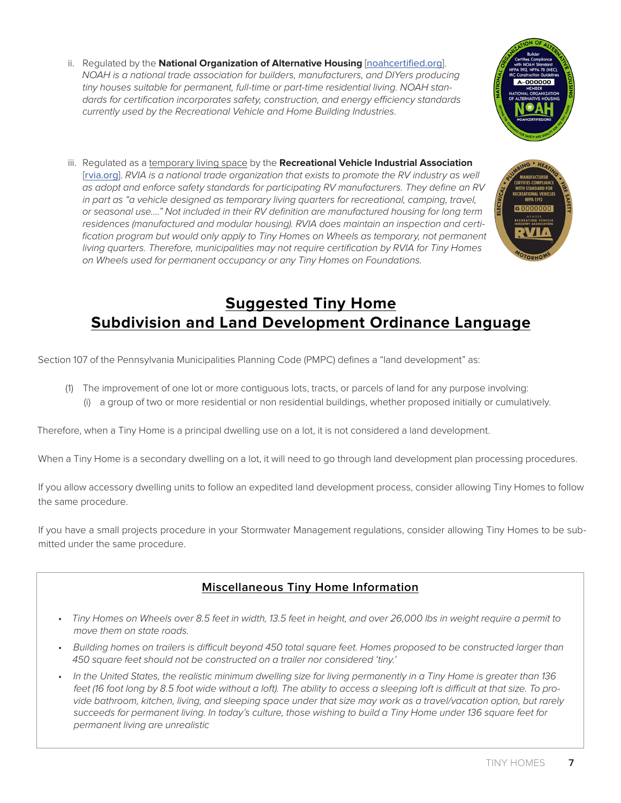- <span id="page-8-0"></span>ii. Regulated by the **National Organization of Alternative Housing** [[noahcertified.org](http://noahcertified.org/)]. NOAH is a national trade association for builders, manufacturers, and DIYers producing tiny houses suitable for permanent, full-time or part-time residential living. NOAH standards for certification incorporates safety, construction, and energy efficiency standards currently used by the Recreational Vehicle and Home Building Industries.
- iii. Regulated as a temporary living space by the **Recreational Vehicle Industrial Association** [[rvia.org](http://rvia.org/)]. RVIA is a national trade organization that exists to promote the RV industry as well as adopt and enforce safety standards for participating RV manufacturers. They define an RV in part as "a vehicle designed as temporary living quarters for recreational, camping, travel, or seasonal use…." Not included in their RV definition are manufactured housing for long term residences (manufactured and modular housing). RVIA does maintain an inspection and certification program but would only apply to Tiny Homes on Wheels as temporary, not permanent living quarters. Therefore, municipalities may not require certification by RVIA for Tiny Homes on Wheels used for permanent occupancy or any Tiny Homes on Foundations.

## **Suggested Tiny Home Subdivision and Land Development Ordinance Language**

Section 107 of the Pennsylvania Municipalities Planning Code (PMPC) defines a "land development" as:

(1) The improvement of one lot or more contiguous lots, tracts, or parcels of land for any purpose involving: (i) a group of two or more residential or non residential buildings, whether proposed initially or cumulatively.

Therefore, when a Tiny Home is a principal dwelling use on a lot, it is not considered a land development.

When a Tiny Home is a secondary dwelling on a lot, it will need to go through land development plan processing procedures.

If you allow accessory dwelling units to follow an expedited land development process, consider allowing Tiny Homes to follow the same procedure.

If you have a small projects procedure in your Stormwater Management regulations, consider allowing Tiny Homes to be submitted under the same procedure.

## **Miscellaneous Tiny Home Information**

- Tiny Homes on Wheels over 8.5 feet in width, 13.5 feet in height, and over 26,000 lbs in weight require a permit to move them on state roads.
- Building homes on trailers is difficult beyond 450 total square feet. Homes proposed to be constructed larger than 450 square feet should not be constructed on a trailer nor considered 'tiny.'
- In the United States, the realistic minimum dwelling size for living permanently in a Tiny Home is greater than 136 feet (16 foot long by 8.5 foot wide without a loft). The ability to access a sleeping loft is difficult at that size. To provide bathroom, kitchen, living, and sleeping space under that size may work as a travel/vacation option, but rarely succeeds for permanent living. In today's culture, those wishing to build a Tiny Home under 136 square feet for permanent living are unrealistic